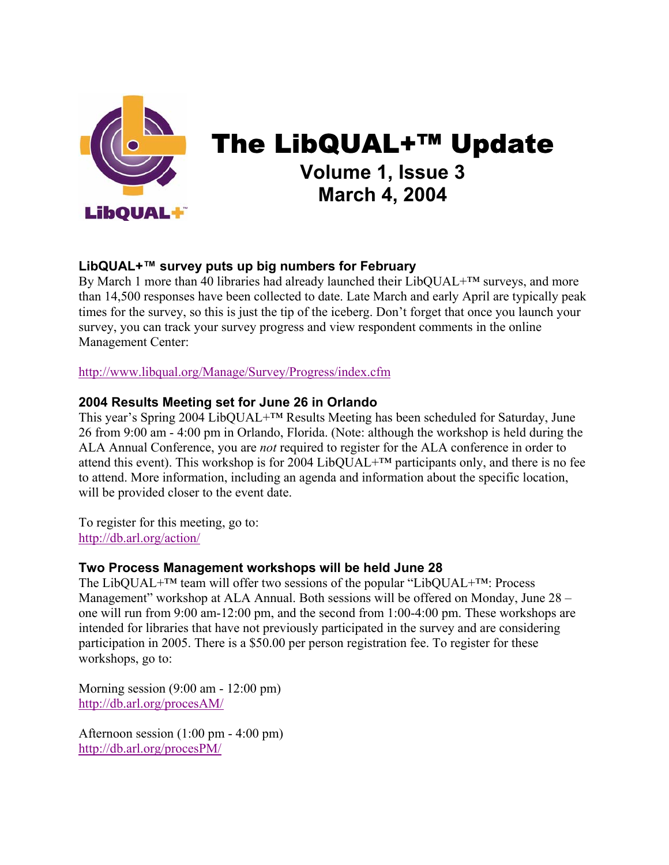

# The LibQUAL+™ Update **Volume 1, Issue 3 March 4, 2004**

## **LibQUAL+™ survey puts up big numbers for February**

By March 1 more than 40 libraries had already launched their LibQUAL+™ surveys, and more than 14,500 responses have been collected to date. Late March and early April are typically peak times for the survey, so this is just the tip of the iceberg. Don't forget that once you launch your survey, you can track your survey progress and view respondent comments in the online Management Center:

http://www.libqual.org/Manage/Survey/Progress/index.cfm

## **2004 Results Meeting set for June 26 in Orlando**

This year's Spring 2004 LibQUAL+™ Results Meeting has been scheduled for Saturday, June 26 from 9:00 am - 4:00 pm in Orlando, Florida. (Note: although the workshop is held during the ALA Annual Conference, you are *not* required to register for the ALA conference in order to attend this event). This workshop is for 2004 LibQUAL+ $^{TM}$  participants only, and there is no fee to attend. More information, including an agenda and information about the specific location, will be provided closer to the event date.

To register for this meeting, go to: http://db.arl.org/action/

## **Two Process Management workshops will be held June 28**

The LibQUAL+™ team will offer two sessions of the popular "LibQUAL+™: Process Management" workshop at ALA Annual. Both sessions will be offered on Monday, June 28 – one will run from 9:00 am-12:00 pm, and the second from 1:00-4:00 pm. These workshops are intended for libraries that have not previously participated in the survey and are considering participation in 2005. There is a \$50.00 per person registration fee. To register for these workshops, go to:

Morning session (9:00 am - 12:00 pm) http://db.arl.org/procesAM/

Afternoon session (1:00 pm - 4:00 pm) http://db.arl.org/procesPM/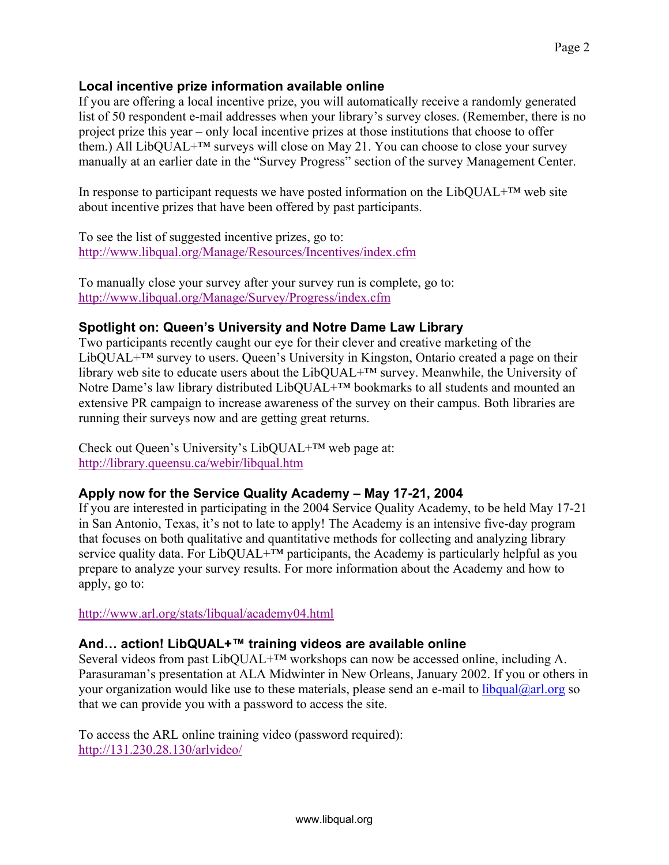### **Local incentive prize information available online**

If you are offering a local incentive prize, you will automatically receive a randomly generated list of 50 respondent e-mail addresses when your library's survey closes. (Remember, there is no project prize this year – only local incentive prizes at those institutions that choose to offer them.) All LibQUAL+™ surveys will close on May 21. You can choose to close your survey manually at an earlier date in the "Survey Progress" section of the survey Management Center.

In response to participant requests we have posted information on the LibQUAL+™ web site about incentive prizes that have been offered by past participants.

To see the list of suggested incentive prizes, go to: http://www.libqual.org/Manage/Resources/Incentives/index.cfm

To manually close your survey after your survey run is complete, go to: http://www.libqual.org/Manage/Survey/Progress/index.cfm

## **Spotlight on: Queen's University and Notre Dame Law Library**

Two participants recently caught our eye for their clever and creative marketing of the LibQUAL+™ survey to users. Queen's University in Kingston, Ontario created a page on their library web site to educate users about the LibQUAL+™ survey. Meanwhile, the University of Notre Dame's law library distributed LibQUAL+™ bookmarks to all students and mounted an extensive PR campaign to increase awareness of the survey on their campus. Both libraries are running their surveys now and are getting great returns.

Check out Queen's University's LibQUAL+™ web page at: http://library.queensu.ca/webir/libqual.htm

#### **Apply now for the Service Quality Academy – May 17-21, 2004**

If you are interested in participating in the 2004 Service Quality Academy, to be held May 17-21 in San Antonio, Texas, it's not to late to apply! The Academy is an intensive five-day program that focuses on both qualitative and quantitative methods for collecting and analyzing library service quality data. For LibQUAL+<sup>™</sup> participants, the Academy is particularly helpful as you prepare to analyze your survey results. For more information about the Academy and how to apply, go to:

http://www.arl.org/stats/libqual/academy04.html

#### **And… action! LibQUAL+™ training videos are available online**

Several videos from past LibQUAL+<sup>™</sup> workshops can now be accessed online, including A. Parasuraman's presentation at ALA Midwinter in New Orleans, January 2002. If you or others in your organization would like use to these materials, please send an e-mail to  $\frac{1}{\text{ibqual}(Q\text{arl.org}}$  so that we can provide you with a password to access the site.

To access the ARL online training video (password required): http://131.230.28.130/arlvideo/